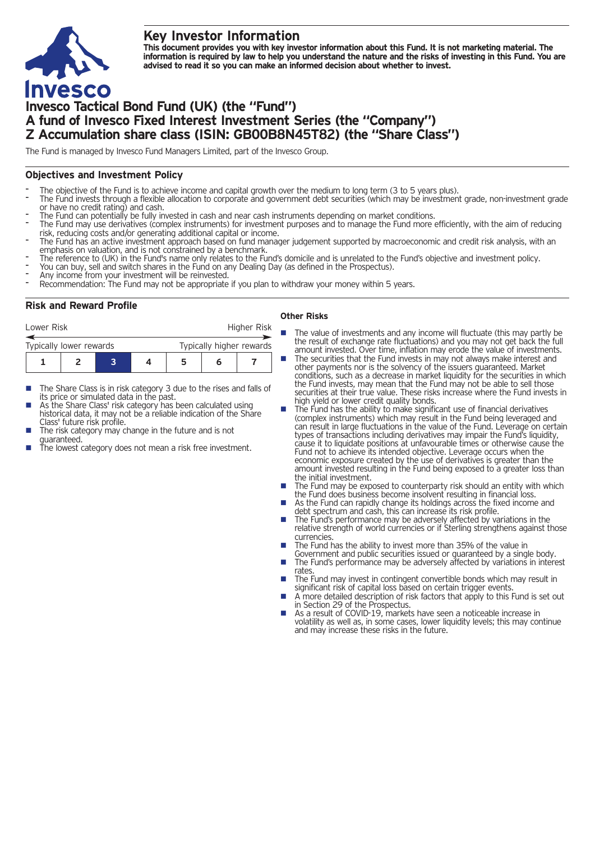## **Key Investor Information**



This document provides you with key investor information about this Fund. It is not marketing material. The information is required by law to help you understand the nature and the risks of investing in this Fund. You are **advised to read it so you can make an informed decision about whether to invest.**

# **Invesco Tactical Bond Fund (UK) (the "Fund") A fund of Invesco Fixed Interest Investment Series (the "Company") Z Accumulation share class (ISIN: GB00B8N45T82) (the "Share Class")**

The Fund is managed by Invesco Fund Managers Limited, part of the Invesco Group.

## **Objectives and Investment Policy**

- 
- The objective of the Fund is to achieve income and capital growth over the medium to long term (3 to 5 years plus).<br>The Fund invests through a flexible allocation to corporate and government debt securities (which may be i
- 
- The Fund can potentially be fully invested in cash and near cash instruments depending on market conditions.<br>The Fund may use derivatives (complex instruments) for investment purposes and to manage the Fund more efficientl
- The Fund has an active investment approach based on fund manager judgement supported by macroeconomic and credit risk analysis, with an<br>emphasis on valuation, and is not constrained by a benchmark.
- The reference to (UK) in the Fund's name only relates to the Fund's domicile and is unrelated to the Fund's objective and investment policy.<br>You can buy, sell and switch shares in the Fund on any Dealing Day (as defined in
- 
- 
- 

## **Risk and Reward Profile**

| Lower Risk              |  |  |  | Higher Risk              |   |  |  |
|-------------------------|--|--|--|--------------------------|---|--|--|
| Typically lower rewards |  |  |  | Typically higher rewards |   |  |  |
|                         |  |  |  | 5                        | h |  |  |

- The Share Class is in risk category 3 due to the rises and falls of its price or simulated data in the past.
- As the Share Class' risk category has been calculated using historical data, it may not be a reliable indication of the Share<br>Class' future risk profile.
- The risk category may change in the future and is not
- guaranteed.  $\frac{1}{\pi}$  is the lowest category does not mean a risk free investment.

#### **Other Risks**

- **n** The value of investments and any income will fluctuate (this may partly be the result of exchange rate fluctuations) and you may not get back the full amount invested. Over time, inflation may erode the value of investments.
- The securities that the Fund invests in may not always make interest and other payments nor is the solvency of the issuers guaranteed. Market conditions, such as a decrease in market liquidity for the securities in which the Fund invests, may mean that the Fund may not be able to sell those securities at their true value. These risks increase where the Fund invests in high yield or lower credit quality bonds.
- high yield or lower credit quality bonds. <sup>n</sup> The Fund has the ability to make significant use of financial derivatives (complex instruments) which may result in the Fund being leveraged and can result in large fluctuations in the value of the Fund. Leverage on certain types of transactions including derivatives may impair the Fund's liquidity, cause it to liquidate positions at unfavourable times or otherwise cause the Fund not to achieve its intended objective. Leverage occurs when the economic exposure created by the use of derivatives is greater than the amount invested resulting in the Fund being exposed to a greater loss than
- the initial investment.<br> **n** The Fund may be exposed to counterparty risk should an entity with which the Fund does business become insolvent resulting in financial loss. ■ As the Fund can rapidly change its holdings across the fixed income and
- As the Fund can rapidly change its holdings across the fixed income and debt spectrum and cash, this can increase its risk profile.<br>■ The Fund's performance may be adversely affected by variations in the
- relative strength of world currencies or if Sterling strengthens against those currencies.
- The Fund has the ability to invest more than 35% of the value in Government and public securities issued or guaranteed by a single body.
- The Fund's performance may be adversely affected by variations in interest<br>rates.
- The Fund may invest in contingent convertible bonds which may result in significant risk of capital loss based on certain trigger events.
- A more detailed description of risk factors that apply to this Fund is set out in Section 29 of the Prospectus.
- As a result of COVID-19, markets have seen a noticeable increase in volatility as well as, in some cases, lower liquidity levels; this may continue and may increase these risks in the future.